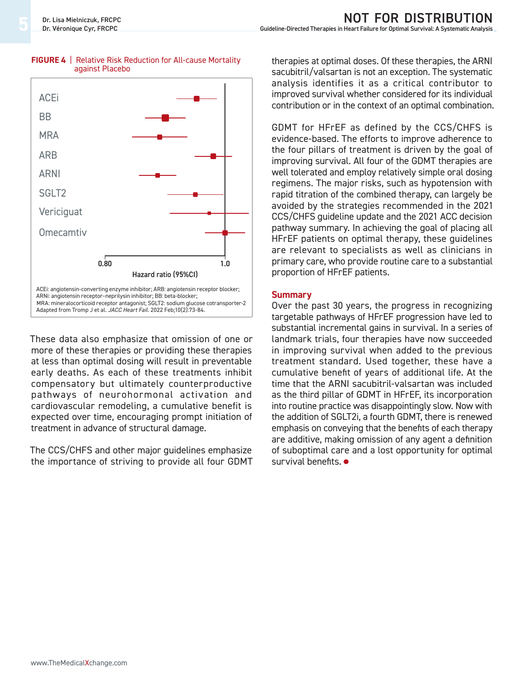

#### **FIGURE 4** | Relative Risk Reduction for All-cause Mortality against Placebo

These data also emphasize that omission of one or more of these therapies or providing these therapies at less than optimal dosing will result in preventable early deaths. As each of these treatments inhibit compensatory but ultimately counterproductive pathways of neurohormonal activation and cardiovascular remodeling, a cumulative benefit is expected over time, encouraging prompt initiation of treatment in advance of structural damage.

The CCS/CHFS and other major guidelines emphasize the importance of striving to provide all four GDMT therapies at optimal doses. Of these therapies, the ARNI sacubitril/valsartan is not an exception. The systematic analysis identifies it as a critical contributor to improved survival whether considered for its individual contribution or in the context of an optimal combination.

GDMT for HFrEF as defined by the CCS/CHFS is evidence-based. The efforts to improve adherence to the four pillars of treatment is driven by the goal of improving survival. All four of the GDMT therapies are well tolerated and employ relatively simple oral dosing regimens. The major risks, such as hypotension with rapid titration of the combined therapy, can largely be avoided by the strategies recommended in the 2021 CCS/CHFS guideline update and the 2021 ACC decision pathway summary. In achieving the goal of placing all HFrEF patients on optimal therapy, these guidelines are relevant to specialists as well as clinicians in primary care, who provide routine care to a substantial proportion of HFrEF patients.

### **Summary**

Over the past 30 years, the progress in recognizing targetable pathways of HFrEF progression have led to substantial incremental gains in survival. In a series of landmark trials, four therapies have now succeeded in improving survival when added to the previous treatment standard. Used together, these have a cumulative benefit of years of additional life. At the time that the ARNI sacubitril-valsartan was included as the third pillar of GDMT in HFrEF, its incorporation into routine practice was disappointingly slow. Now with the addition of SGLT2i, a fourth GDMT, there is renewed emphasis on conveying that the benefits of each therapy are additive, making omission of any agent a definition of suboptimal care and a lost opportunity for optimal survival benefits. **•**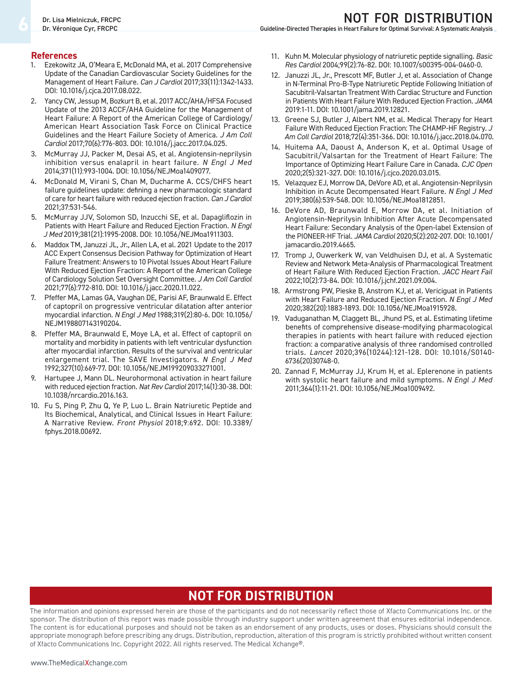**Guideline-Directed Therapies in Heart Failure for Optimal Survival: A Systematic Analysis** 

#### **References**

- 1. Ezekowitz JA, O'Meara E, McDonald MA, et al. 2017 Comprehensive Update of the Canadian Cardiovascular Society Guidelines for the Management of Heart Failure. *Can J Cardiol* 2017;33(11):1342-1433. DOI: 10.1016/j.cjca.2017.08.022.
- 2. Yancy CW, Jessup M, Bozkurt B, et al. 2017 ACC/AHA/HFSA Focused Update of the 2013 ACCF/AHA Guideline for the Management of Heart Failure: A Report of the American College of Cardiology/ American Heart Association Task Force on Clinical Practice Guidelines and the Heart Failure Society of America. *J Am Coll Cardiol* 2017;70(6):776-803. DOI: 10.1016/j.jacc.2017.04.025.
- 3. McMurray JJ, Packer M, Desai AS, et al. Angiotensin-neprilysin inhibition versus enalapril in heart failure. *N Engl J Med* 2014;371(11):993-1004. DOI: 10.1056/NEJMoa1409077.
- 4. McDonald M, Virani S, Chan M, Ducharme A. CCS/CHFS heart failure guidelines update: defining a new pharmacologic standard of care for heart failure with reduced ejection fraction*. Can J Cardiol* 2021;37:531-546.
- 5. McMurray JJV, Solomon SD, Inzucchi SE, et al. Dapagliflozin in Patients with Heart Failure and Reduced Ejection Fraction. *N Engl J Med* 2019;381(21):1995-2008. DOI: 10.1056/NEJMoa1911303.
- 6. Maddox TM, Januzzi JL, Jr., Allen LA, et al. 2021 Update to the 2017 ACC Expert Consensus Decision Pathway for Optimization of Heart Failure Treatment: Answers to 10 Pivotal Issues About Heart Failure With Reduced Ejection Fraction: A Report of the American College of Cardiology Solution Set Oversight Committee. *J Am Coll Cardiol* 2021;77(6):772-810. DOI: 10.1016/j.jacc.2020.11.022.
- 7. Pfeffer MA, Lamas GA, Vaughan DE, Parisi AF, Braunwald E. Effect of captopril on progressive ventricular dilatation after anterior myocardial infarction. *N Engl J Med* 1988;319(2):80-6. DOI: 10.1056/ NEJM198807143190204.
- 8. Pfeffer MA, Braunwald E, Moye LA, et al. Effect of captopril on mortality and morbidity in patients with left ventricular dysfunction after myocardial infarction. Results of the survival and ventricular enlargement trial. The SAVE Investigators. *N Engl J Med* 1992;327(10):669-77. DOI: 10.1056/NEJM199209033271001.
- 9. Hartupee J, Mann DL. Neurohormonal activation in heart failure with reduced ejection fraction. *Nat Rev Cardiol* 2017;14(1):30-38. DOI: 10.1038/nrcardio.2016.163.
- 10. Fu S, Ping P, Zhu Q, Ye P, Luo L. Brain Natriuretic Peptide and Its Biochemical, Analytical, and Clinical Issues in Heart Failure: A Narrative Review. *Front Physiol* 2018;9:692. DOI: 10.3389/ fphys.2018.00692.
- 11. Kuhn M. Molecular physiology of natriuretic peptide signalling. *Basic Res Cardiol* 2004;99(2):76-82. DOI: 10.1007/s00395-004-0460-0.
- 12. Januzzi JL, Jr., Prescott MF, Butler J, et al. Association of Change in N-Terminal Pro-B-Type Natriuretic Peptide Following Initiation of Sacubitril-Valsartan Treatment With Cardiac Structure and Function in Patients With Heart Failure With Reduced Ejection Fraction. *JAMA* 2019:1-11. DOI: 10.1001/jama.2019.12821.
- 13. Greene SJ, Butler J, Albert NM, et al. Medical Therapy for Heart Failure With Reduced Ejection Fraction: The CHAMP-HF Registry. *J Am Coll Cardiol* 2018;72(4):351-366. DOI: 10.1016/j.jacc.2018.04.070.
- 14. Huitema AA, Daoust A, Anderson K, et al. Optimal Usage of Sacubitril/Valsartan for the Treatment of Heart Failure: The Importance of Optimizing Heart Failure Care in Canada. *CJC Open* 2020;2(5):321-327. DOI: 10.1016/j.cjco.2020.03.015.
- 15. Velazquez EJ, Morrow DA, DeVore AD, et al. Angiotensin-Neprilysin Inhibition in Acute Decompensated Heart Failure. *N Engl J Med* 2019;380(6):539-548. DOI: 10.1056/NEJMoa1812851.
- 16. DeVore AD, Braunwald E, Morrow DA, et al. Initiation of Angiotensin-Neprilysin Inhibition After Acute Decompensated Heart Failure: Secondary Analysis of the Open-label Extension of the PIONEER-HF Trial. *JAMA Cardiol* 2020;5(2):202-207. DOI: 10.1001/ jamacardio.2019.4665.
- 17. Tromp J, Ouwerkerk W, van Veldhuisen DJ, et al. A Systematic Review and Network Meta-Analysis of Pharmacological Treatment of Heart Failure With Reduced Ejection Fraction. *JACC Heart Fail* 2022;10(2):73-84. DOI: 10.1016/j.jchf.2021.09.004.
- 18. Armstrong PW, Pieske B, Anstrom KJ, et al. Vericiguat in Patients with Heart Failure and Reduced Ejection Fraction. *N Engl J Med*  2020;382(20):1883-1893. DOI: 10.1056/NEJMoa1915928.
- 19. Vaduganathan M, Claggett BL, Jhund PS, et al. Estimating lifetime benefits of comprehensive disease-modifying pharmacological therapies in patients with heart failure with reduced ejection fraction: a comparative analysis of three randomised controlled trials. *Lancet* 2020;396(10244):121-128. DOI: 10.1016/S0140- 6736(20)30748-0.
- 20. Zannad F, McMurray JJ, Krum H, et al. Eplerenone in patients with systolic heart failure and mild symptoms*. N Engl J Med* 2011;364(1):11-21. DOI: 10.1056/NEJMoa1009492.

### **ne pas distribuer Not for distribution**

The information and opinions expressed herein are those of the participants and do not necessarily reflect those of Xfacto Communications Inc. or the sponsor. The distribution of this report was made possible through industry support under written agreement that ensures editorial independence. The content is for educational purposes and should not be taken as an endorsement of any products, uses or doses. Physicians should consult the appropriate monograph before prescribing any drugs. Distribution, reproduction, alteration of this program is strictly prohibited without written consent of Xfacto Communications Inc. Copyright 2022. All rights reserved. The Medical Xchange®.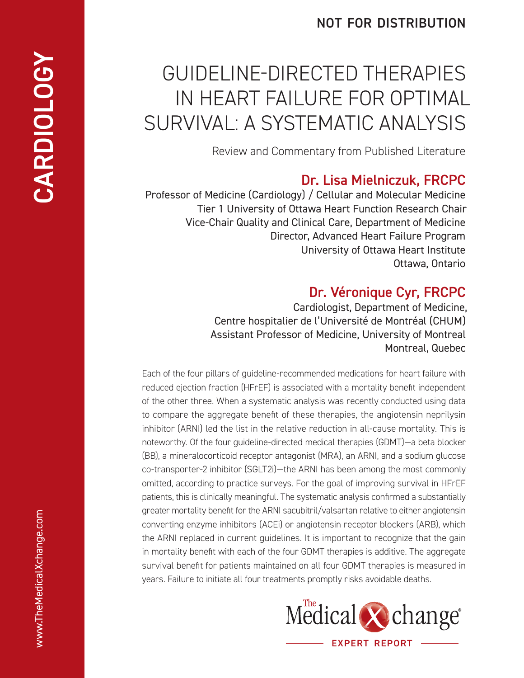### **not for distribution**

# Guideline-Directed Therapies in Heart Failure for Optimal Survival: A Systematic Analysis

Review and Commentary from Published Literature

# **Dr. Lisa Mielniczuk, FRCPC**

Professor of Medicine (Cardiology) / Cellular and Molecular Medicine Tier 1 University of Ottawa Heart Function Research Chair Vice-Chair Quality and Clinical Care, Department of Medicine Director, Advanced Heart Failure Program University of Ottawa Heart Institute Ottawa, Ontario

# **Dr. Véronique Cyr, FRCPC**

Cardiologist, Department of Medicine, Centre hospitalier de l'Université de Montréal (CHUM) Assistant Professor of Medicine, University of Montreal Montreal, Quebec

Each of the four pillars of guideline-recommended medications for heart failure with reduced ejection fraction (HFrEF) is associated with a mortality benefit independent of the other three. When a systematic analysis was recently conducted using data to compare the aggregate benefit of these therapies, the angiotensin neprilysin inhibitor (ARNI) led the list in the relative reduction in all-cause mortality. This is noteworthy. Of the four guideline-directed medical therapies (GDMT)—a beta blocker (BB), a mineralocorticoid receptor antagonist (MRA), an ARNI, and a sodium glucose co-transporter-2 inhibitor (SGLT2i)—the ARNI has been among the most commonly omitted, according to practice surveys. For the goal of improving survival in HFrEF patients, this is clinically meaningful. The systematic analysis confirmed a substantially greater mortality benefit for the ARNI sacubitril/valsartan relative to either angiotensin converting enzyme inhibitors (ACEi) or angiotensin receptor blockers (ARB), which the ARNI replaced in current guidelines. It is important to recognize that the gain in mortality benefit with each of the four GDMT therapies is additive. The aggregate survival benefit for patients maintained on all four GDMT therapies is measured in years. Failure to initiate all four treatments promptly risks avoidable deaths.

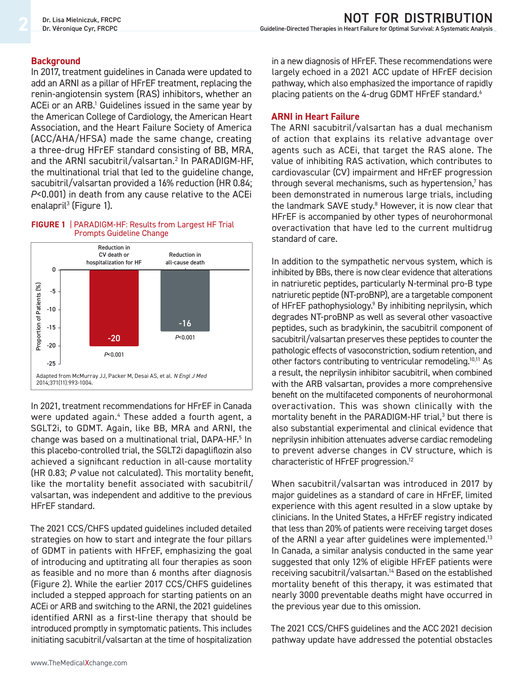### **Background**

In 2017, treatment guidelines in Canada were updated to add an ARNI as a pillar of HFrEF treatment, replacing the renin-angiotensin system (RAS) inhibitors, whether an ACEi or an ARB.<sup>1</sup> Guidelines issued in the same year by the American College of Cardiology, the American Heart Association, and the Heart Failure Society of America (ACC/AHA/HFSA) made the same change, creating a three-drug HFrEF standard consisting of BB, MRA, and the ARNI sacubitril/valsartan.2 In PARADIGM-HF, the multinational trial that led to the guideline change, sacubitril/valsartan provided a 16% reduction (HR 0.84; *P*<0.001) in death from any cause relative to the ACEi enalapril<sup>3</sup> (Figure 1).





In 2021, treatment recommendations for HFrEF in Canada were updated again.4 These added a fourth agent, a SGLT2i, to GDMT. Again, like BB, MRA and ARNI, the change was based on a multinational trial, DAPA-HF.<sup>5</sup> In this placebo-controlled trial, the SGLT2i dapagliflozin also achieved a significant reduction in all-cause mortality (HR 0.83; *P* value not calculated). This mortality benefit, like the mortality benefit associated with sacubitril/ valsartan, was independent and additive to the previous HFrEF standard.

The 2021 CCS/CHFS updated guidelines included detailed strategies on how to start and integrate the four pillars of GDMT in patients with HFrEF, emphasizing the goal of introducing and uptitrating all four therapies as soon as feasible and no more than 6 months after diagnosis (Figure 2). While the earlier 2017 CCS/CHFS guidelines included a stepped approach for starting patients on an ACEi or ARB and switching to the ARNI, the 2021 guidelines identified ARNI as a first-line therapy that should be introduced promptly in symptomatic patients. This includes initiating sacubitril/valsartan at the time of hospitalization

in a new diagnosis of HFrEF. These recommendations were largely echoed in a 2021 ACC update of HFrEF decision pathway, which also emphasized the importance of rapidly placing patients on the 4-drug GDMT HFrEF standard.<sup>6</sup>

### **ARNI in Heart Failure**

The ARNI sacubitril/valsartan has a dual mechanism of action that explains its relative advantage over agents such as ACEi, that target the RAS alone. The value of inhibiting RAS activation, which contributes to cardiovascular (CV) impairment and HFrEF progression through several mechanisms, such as hypertension,<sup>7</sup> has been demonstrated in numerous large trials, including the landmark SAVE study.<sup>8</sup> However, it is now clear that HFrEF is accompanied by other types of neurohormonal overactivation that have led to the current multidrug standard of care.

In addition to the sympathetic nervous system, which is inhibited by BBs, there is now clear evidence that alterations in natriuretic peptides, particularly N-terminal pro-B type natriuretic peptide (NT-proBNP), are a targetable component of HFrEF pathophysiology.<sup>9</sup> By inhibiting neprilysin, which degrades NT-proBNP as well as several other vasoactive peptides, such as bradykinin, the sacubitril component of sacubitril/valsartan preserves these peptides to counter the pathologic effects of vasoconstriction, sodium retention, and other factors contributing to ventricular remodeling.<sup>10,11</sup> As a result, the neprilysin inhibitor sacubitril, when combined with the ARB valsartan, provides a more comprehensive benefit on the multifaceted components of neurohormonal overactivation. This was shown clinically with the mortality benefit in the PARADIGM-HF trial,<sup>3</sup> but there is also substantial experimental and clinical evidence that neprilysin inhibition attenuates adverse cardiac remodeling to prevent adverse changes in CV structure, which is characteristic of HFrEF progression.12

When sacubitril/valsartan was introduced in 2017 by major guidelines as a standard of care in HFrEF, limited experience with this agent resulted in a slow uptake by clinicians. In the United States, a HFrEF registry indicated that less than 20% of patients were receiving target doses of the ARNI a year after guidelines were implemented.<sup>13</sup> In Canada, a similar analysis conducted in the same year suggested that only 12% of eligible HFrEF patients were receiving sacubitril/valsartan.14 Based on the established mortality benefit of this therapy, it was estimated that nearly 3000 preventable deaths might have occurred in the previous year due to this omission.

The 2021 CCS/CHFS guidelines and the ACC 2021 decision pathway update have addressed the potential obstacles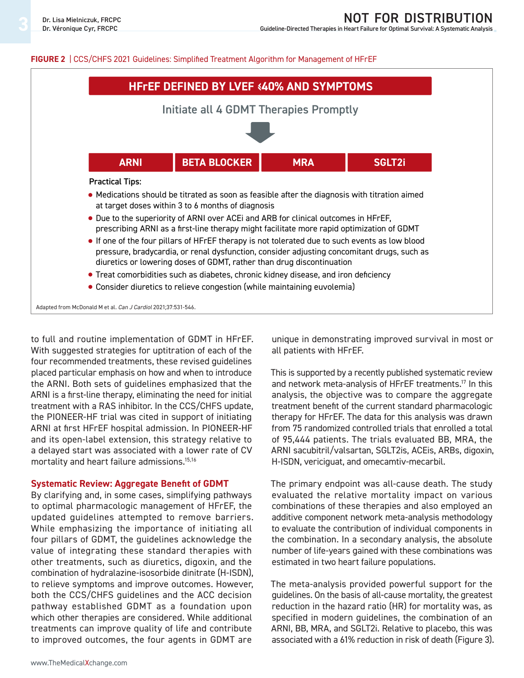# **not for distribution**

Guideline-Directed Therapies in Heart Failure for Optimal Survival: A Systematic Analysis

#### **FIGURE 2** | CCS/CHFS 2021 Guidelines: Simplified Treatment Algorithm for Management of HFrEF



to full and routine implementation of GDMT in HFrEF. With suggested strategies for uptitration of each of the four recommended treatments, these revised guidelines placed particular emphasis on how and when to introduce the ARNI. Both sets of guidelines emphasized that the ARNI is a first-line therapy, eliminating the need for initial treatment with a RAS inhibitor. In the CCS/CHFS update, the PIONEER-HF trial was cited in support of initiating ARNI at first HFrEF hospital admission. In PIONEER-HF and its open-label extension, this strategy relative to a delayed start was associated with a lower rate of CV mortality and heart failure admissions.<sup>15,16</sup>

#### **Systematic Review: Aggregate Benefit of GDMT**

By clarifying and, in some cases, simplifying pathways to optimal pharmacologic management of HFrEF, the updated guidelines attempted to remove barriers. While emphasizing the importance of initiating all four pillars of GDMT, the guidelines acknowledge the value of integrating these standard therapies with other treatments, such as diuretics, digoxin, and the combination of hydralazine-isosorbide dinitrate (H-ISDN), to relieve symptoms and improve outcomes. However, both the CCS/CHFS guidelines and the ACC decision pathway established GDMT as a foundation upon which other therapies are considered. While additional treatments can improve quality of life and contribute to improved outcomes, the four agents in GDMT are

unique in demonstrating improved survival in most or all patients with HFrEF.

This is supported by a recently published systematic review and network meta-analysis of HFrEF treatments.17 In this analysis, the objective was to compare the aggregate treatment benefit of the current standard pharmacologic therapy for HFrEF. The data for this analysis was drawn from 75 randomized controlled trials that enrolled a total of 95,444 patients. The trials evaluated BB, MRA, the ARNI sacubitril/valsartan, SGLT2is, ACEis, ARBs, digoxin, H-ISDN, vericiguat, and omecamtiv-mecarbil.

The primary endpoint was all-cause death. The study evaluated the relative mortality impact on various combinations of these therapies and also employed an additive component network meta-analysis methodology to evaluate the contribution of individual components in the combination. In a secondary analysis, the absolute number of life-years gained with these combinations was estimated in two heart failure populations.

The meta-analysis provided powerful support for the guidelines. On the basis of all-cause mortality, the greatest reduction in the hazard ratio (HR) for mortality was, as specified in modern guidelines, the combination of an ARNI, BB, MRA, and SGLT2i. Relative to placebo, this was associated with a 61% reduction in risk of death (Figure 3).